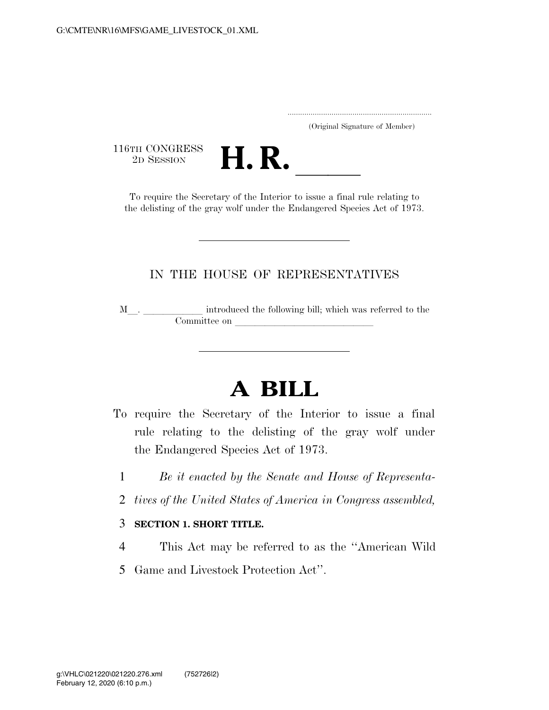..................................................................... (Original Signature of Member)

116TH CONGRESS<br>2D SESSION



TH CONGRESS<br>
2D SESSION<br>
To require the Secretary of the Interior to issue a final rule relating to the delisting of the gray wolf under the Endangered Species Act of 1973.

### IN THE HOUSE OF REPRESENTATIVES

M<sub>\_\_\_</sub>. \_\_\_\_\_\_\_\_\_\_\_\_\_ introduced the following bill; which was referred to the Committee on l

# **A BILL**

- To require the Secretary of the Interior to issue a final rule relating to the delisting of the gray wolf under the Endangered Species Act of 1973.
	- 1 *Be it enacted by the Senate and House of Representa-*
	- 2 *tives of the United States of America in Congress assembled,*

#### 3 **SECTION 1. SHORT TITLE.**

- 4 This Act may be referred to as the ''American Wild
- 5 Game and Livestock Protection Act''.